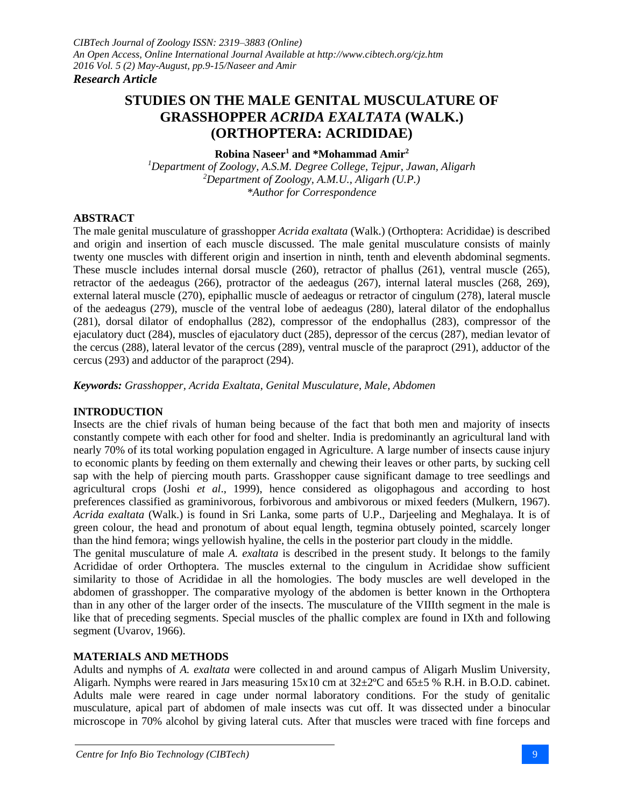# **STUDIES ON THE MALE GENITAL MUSCULATURE OF GRASSHOPPER** *ACRIDA EXALTATA* **(WALK.) (ORTHOPTERA: ACRIDIDAE)**

#### **Robina Naseer<sup>1</sup> and \*Mohammad Amir<sup>2</sup>**

*<sup>1</sup>Department of Zoology, A.S.M. Degree College, Tejpur, Jawan, Aligarh <sup>2</sup>Department of Zoology, A.M.U., Aligarh (U.P.) \*Author for Correspondence*

# **ABSTRACT**

The male genital musculature of grasshopper *Acrida exaltata* (Walk.) (Orthoptera: Acrididae) is described and origin and insertion of each muscle discussed. The male genital musculature consists of mainly twenty one muscles with different origin and insertion in ninth, tenth and eleventh abdominal segments. These muscle includes internal dorsal muscle (260), retractor of phallus (261), ventral muscle (265), retractor of the aedeagus (266), protractor of the aedeagus (267), internal lateral muscles (268, 269), external lateral muscle (270), epiphallic muscle of aedeagus or retractor of cingulum (278), lateral muscle of the aedeagus (279), muscle of the ventral lobe of aedeagus (280), lateral dilator of the endophallus (281), dorsal dilator of endophallus (282), compressor of the endophallus (283), compressor of the ejaculatory duct (284), muscles of ejaculatory duct (285), depressor of the cercus (287), median levator of the cercus (288), lateral levator of the cercus (289), ventral muscle of the paraproct (291), adductor of the cercus (293) and adductor of the paraproct (294).

*Keywords: Grasshopper, Acrida Exaltata*, *Genital Musculature, Male, Abdomen*

# **INTRODUCTION**

Insects are the chief rivals of human being because of the fact that both men and majority of insects constantly compete with each other for food and shelter. India is predominantly an agricultural land with nearly 70% of its total working population engaged in Agriculture. A large number of insects cause injury to economic plants by feeding on them externally and chewing their leaves or other parts, by sucking cell sap with the help of piercing mouth parts. Grasshopper cause significant damage to tree seedlings and agricultural crops (Joshi *et al*., 1999), hence considered as oligophagous and according to host preferences classified as graminivorous, forbivorous and ambivorous or mixed feeders (Mulkern, 1967). *Acrida exaltata* (Walk.) is found in Sri Lanka, some parts of U.P., Darjeeling and Meghalaya. It is of green colour, the head and pronotum of about equal length, tegmina obtusely pointed, scarcely longer than the hind femora; wings yellowish hyaline, the cells in the posterior part cloudy in the middle.

The genital musculature of male *A. exaltata* is described in the present study. It belongs to the family Acrididae of order Orthoptera. The muscles external to the cingulum in Acrididae show sufficient similarity to those of Acrididae in all the homologies. The body muscles are well developed in the abdomen of grasshopper. The comparative myology of the abdomen is better known in the Orthoptera than in any other of the larger order of the insects. The musculature of the VIIIth segment in the male is like that of preceding segments. Special muscles of the phallic complex are found in IXth and following segment (Uvarov, 1966).

# **MATERIALS AND METHODS**

Adults and nymphs of *A. exaltata* were collected in and around campus of Aligarh Muslim University, Aligarh. Nymphs were reared in Jars measuring 15x10 cm at 32±2ºC and 65±5 % R.H. in B.O.D. cabinet. Adults male were reared in cage under normal laboratory conditions. For the study of genitalic musculature, apical part of abdomen of male insects was cut off. It was dissected under a binocular microscope in 70% alcohol by giving lateral cuts. After that muscles were traced with fine forceps and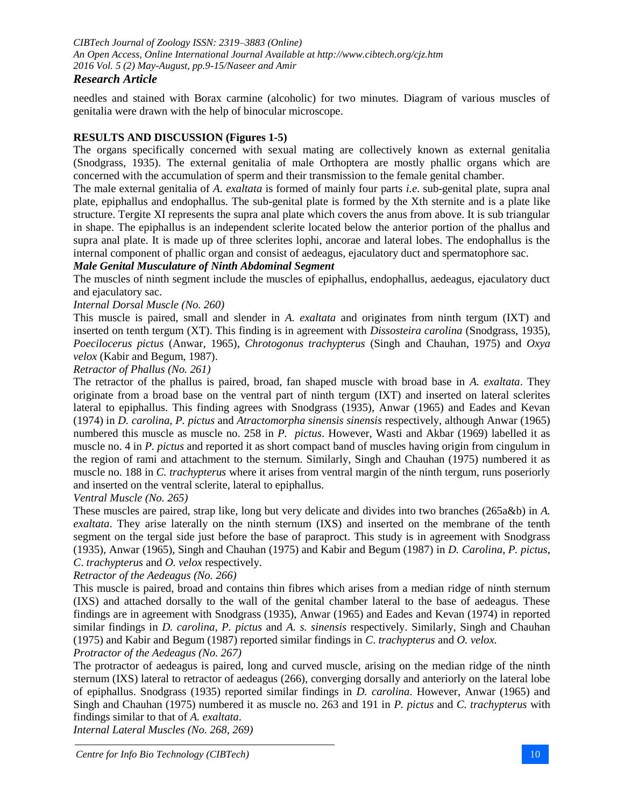*CIBTech Journal of Zoology ISSN: 2319–3883 (Online) An Open Access, Online International Journal Available at http://www.cibtech.org/cjz.htm 2016 Vol. 5 (2) May-August, pp.9-15/Naseer and Amir*

# *Research Article*

needles and stained with Borax carmine (alcoholic) for two minutes. Diagram of various muscles of genitalia were drawn with the help of binocular microscope.

# **RESULTS AND DISCUSSION (Figures 1-5)**

The organs specifically concerned with sexual mating are collectively known as external genitalia (Snodgrass, 1935). The external genitalia of male Orthoptera are mostly phallic organs which are concerned with the accumulation of sperm and their transmission to the female genital chamber.

The male external genitalia of *A. exaltata* is formed of mainly four parts *i.e*. sub-genital plate, supra anal plate, epiphallus and endophallus. The sub-genital plate is formed by the Xth sternite and is a plate like structure. Tergite XI represents the supra anal plate which covers the anus from above. It is sub triangular in shape. The epiphallus is an independent sclerite located below the anterior portion of the phallus and supra anal plate. It is made up of three sclerites lophi, ancorae and lateral lobes. The endophallus is the internal component of phallic organ and consist of aedeagus, ejaculatory duct and spermatophore sac.

# *Male Genital Musculature of Ninth Abdominal Segment*

The muscles of ninth segment include the muscles of epiphallus, endophallus, aedeagus, ejaculatory duct and ejaculatory sac.

# *Internal Dorsal Muscle (No. 260)*

This muscle is paired, small and slender in *A. exaltata* and originates from ninth tergum (IXT) and inserted on tenth tergum (XT). This finding is in agreement with *Dissosteira carolina* (Snodgrass, 1935), *Poecilocerus pictus* (Anwar, 1965), *Chrotogonus trachypterus* (Singh and Chauhan, 1975) and *Oxya velox* (Kabir and Begum, 1987).

### *Retractor of Phallus (No. 261)*

The retractor of the phallus is paired, broad, fan shaped muscle with broad base in *A. exaltata*. They originate from a broad base on the ventral part of ninth tergum (IXT) and inserted on lateral sclerites lateral to epiphallus. This finding agrees with Snodgrass (1935), Anwar (1965) and Eades and Kevan (1974) in *D. carolina*, *P. pictus* and *Atractomorpha sinensis sinensis* respectively, although Anwar (1965) numbered this muscle as muscle no. 258 in *P. pictus*. However, Wasti and Akbar (1969) labelled it as muscle no. 4 in *P. pictus* and reported it as short compact band of muscles having origin from cingulum in the region of rami and attachment to the sternum. Similarly, Singh and Chauhan (1975) numbered it as muscle no. 188 in *C. trachypterus* where it arises from ventral margin of the ninth tergum, runs poseriorly and inserted on the ventral sclerite, lateral to epiphallus.

#### *Ventral Muscle (No. 265)*

These muscles are paired, strap like, long but very delicate and divides into two branches (265a&b) in *A. exaltata*. They arise laterally on the ninth sternum (IXS) and inserted on the membrane of the tenth segment on the tergal side just before the base of paraproct. This study is in agreement with Snodgrass (1935), Anwar (1965), Singh and Chauhan (1975) and Kabir and Begum (1987) in *D. Carolina*, *P. pictus*, *C*. *trachypterus* and *O. velox* respectively.

# *Retractor of the Aedeagus (No. 266)*

This muscle is paired, broad and contains thin fibres which arises from a median ridge of ninth sternum (IXS) and attached dorsally to the wall of the genital chamber lateral to the base of aedeagus. These findings are in agreement with Snodgrass (1935), Anwar (1965) and Eades and Kevan (1974) in reported similar findings in *D. carolina*, *P. pictus* and *A. s. sinensis* respectively. Similarly, Singh and Chauhan (1975) and Kabir and Begum (1987) reported similar findings in *C*. *trachypterus* and *O. velox. Protractor of the Aedeagus (No. 267)*

The protractor of aedeagus is paired, long and curved muscle, arising on the median ridge of the ninth sternum (IXS) lateral to retractor of aedeagus (266), converging dorsally and anteriorly on the lateral lobe of epiphallus. Snodgrass (1935) reported similar findings in *D. carolina*. However, Anwar (1965) and Singh and Chauhan (1975) numbered it as muscle no. 263 and 191 in *P. pictus* and *C. trachypterus* with findings similar to that of *A. exaltata*.

*Internal Lateral Muscles (No. 268, 269)*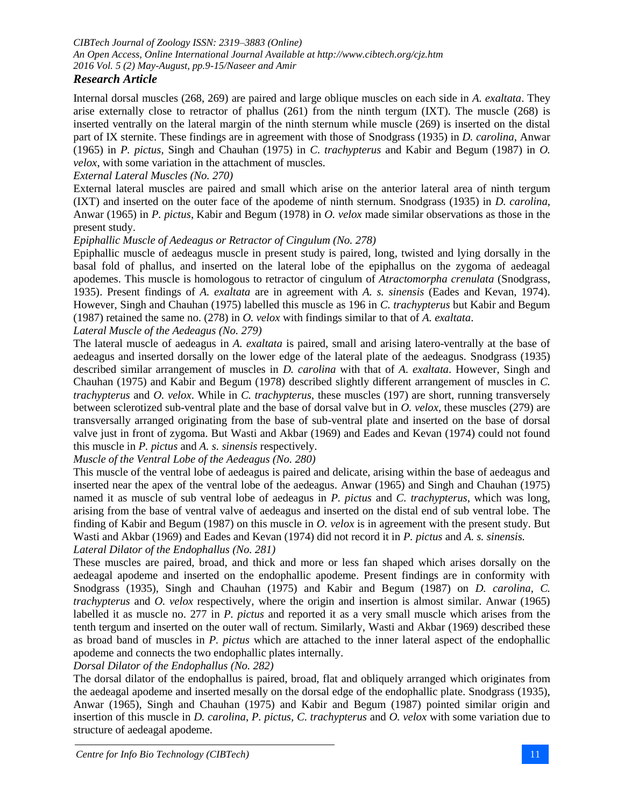# *Research Article*

Internal dorsal muscles (268, 269) are paired and large oblique muscles on each side in *A. exaltata*. They arise externally close to retractor of phallus (261) from the ninth tergum (IXT). The muscle (268) is inserted ventrally on the lateral margin of the ninth sternum while muscle (269) is inserted on the distal part of IX sternite. These findings are in agreement with those of Snodgrass (1935) in *D. carolina*, Anwar (1965) in *P. pictus*, Singh and Chauhan (1975) in *C. trachypterus* and Kabir and Begum (1987) in *O. velox*, with some variation in the attachment of muscles.

*External Lateral Muscles (No. 270)*

External lateral muscles are paired and small which arise on the anterior lateral area of ninth tergum (IXT) and inserted on the outer face of the apodeme of ninth sternum. Snodgrass (1935) in *D. carolina*, Anwar (1965) in *P. pictus*, Kabir and Begum (1978) in *O. velox* made similar observations as those in the present study.

#### *Epiphallic Muscle of Aedeagus or Retractor of Cingulum (No. 278)*

Epiphallic muscle of aedeagus muscle in present study is paired, long, twisted and lying dorsally in the basal fold of phallus, and inserted on the lateral lobe of the epiphallus on the zygoma of aedeagal apodemes. This muscle is homologous to retractor of cingulum of *Atractomorpha crenulata* (Snodgrass, 1935). Present findings of *A. exaltata* are in agreement with *A. s. sinensis* (Eades and Kevan, 1974). However, Singh and Chauhan (1975) labelled this muscle as 196 in *C. trachypterus* but Kabir and Begum (1987) retained the same no. (278) in *O. velox* with findings similar to that of *A. exaltata*.

*Lateral Muscle of the Aedeagus (No. 279)*

The lateral muscle of aedeagus in *A. exaltata* is paired, small and arising latero-ventrally at the base of aedeagus and inserted dorsally on the lower edge of the lateral plate of the aedeagus. Snodgrass (1935) described similar arrangement of muscles in *D. carolina* with that of *A. exaltata*. However, Singh and Chauhan (1975) and Kabir and Begum (1978) described slightly different arrangement of muscles in *C. trachypterus* and *O. velox*. While in *C. trachypterus*, these muscles (197) are short, running transversely between sclerotized sub-ventral plate and the base of dorsal valve but in *O. velox*, these muscles (279) are transversally arranged originating from the base of sub-ventral plate and inserted on the base of dorsal valve just in front of zygoma. But Wasti and Akbar (1969) and Eades and Kevan (1974) could not found this muscle in *P. pictus* and *A. s. sinensis* respectively.

*Muscle of the Ventral Lobe of the Aedeagus (No. 280)*

This muscle of the ventral lobe of aedeagus is paired and delicate, arising within the base of aedeagus and inserted near the apex of the ventral lobe of the aedeagus. Anwar (1965) and Singh and Chauhan (1975) named it as muscle of sub ventral lobe of aedeagus in *P. pictus* and *C. trachypterus*, which was long, arising from the base of ventral valve of aedeagus and inserted on the distal end of sub ventral lobe. The finding of Kabir and Begum (1987) on this muscle in *O. velox* is in agreement with the present study. But Wasti and Akbar (1969) and Eades and Kevan (1974) did not record it in *P. pictus* and *A. s. sinensis. Lateral Dilator of the Endophallus (No. 281)*

These muscles are paired, broad, and thick and more or less fan shaped which arises dorsally on the aedeagal apodeme and inserted on the endophallic apodeme. Present findings are in conformity with Snodgrass (1935), Singh and Chauhan (1975) and Kabir and Begum (1987) on *D. carolina*, *C. trachypterus* and *O. velox* respectively, where the origin and insertion is almost similar. Anwar (1965) labelled it as muscle no. 277 in *P. pictus* and reported it as a very small muscle which arises from the tenth tergum and inserted on the outer wall of rectum. Similarly, Wasti and Akbar (1969) described these as broad band of muscles in *P. pictus* which are attached to the inner lateral aspect of the endophallic apodeme and connects the two endophallic plates internally.

*Dorsal Dilator of the Endophallus (No. 282)*

The dorsal dilator of the endophallus is paired, broad, flat and obliquely arranged which originates from the aedeagal apodeme and inserted mesally on the dorsal edge of the endophallic plate. Snodgrass (1935), Anwar (1965), Singh and Chauhan (1975) and Kabir and Begum (1987) pointed similar origin and insertion of this muscle in *D. carolina*, *P. pictus, C. trachypterus* and *O. velox* with some variation due to structure of aedeagal apodeme.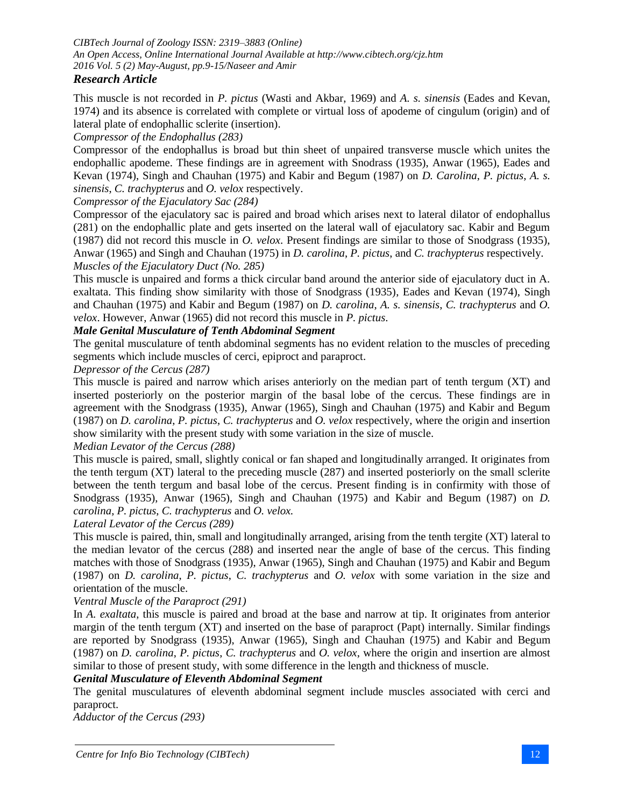*CIBTech Journal of Zoology ISSN: 2319–3883 (Online) An Open Access, Online International Journal Available at http://www.cibtech.org/cjz.htm 2016 Vol. 5 (2) May-August, pp.9-15/Naseer and Amir*

# *Research Article*

This muscle is not recorded in *P. pictus* (Wasti and Akbar, 1969) and *A. s. sinensis* (Eades and Kevan, 1974) and its absence is correlated with complete or virtual loss of apodeme of cingulum (origin) and of lateral plate of endophallic sclerite (insertion).

### *Compressor of the Endophallus (283)*

Compressor of the endophallus is broad but thin sheet of unpaired transverse muscle which unites the endophallic apodeme. These findings are in agreement with Snodrass (1935), Anwar (1965), Eades and Kevan (1974), Singh and Chauhan (1975) and Kabir and Begum (1987) on *D. Carolina*, *P. pictus*, *A. s. sinensis*, *C. trachypterus* and *O. velox* respectively.

*Compressor of the Ejaculatory Sac (284)*

Compressor of the ejaculatory sac is paired and broad which arises next to lateral dilator of endophallus (281) on the endophallic plate and gets inserted on the lateral wall of ejaculatory sac. Kabir and Begum (1987) did not record this muscle in *O. velox*. Present findings are similar to those of Snodgrass (1935), Anwar (1965) and Singh and Chauhan (1975) in *D. carolina*, *P. pictus*, and *C. trachypterus* respectively. *Muscles of the Ejaculatory Duct (No. 285)*

This muscle is unpaired and forms a thick circular band around the anterior side of ejaculatory duct in A. exaltata. This finding show similarity with those of Snodgrass (1935), Eades and Kevan (1974), Singh and Chauhan (1975) and Kabir and Begum (1987) on *D. carolina*, *A. s. sinensis*, *C. trachypterus* and *O. velox*. However, Anwar (1965) did not record this muscle in *P. pictus*.

# *Male Genital Musculature of Tenth Abdominal Segment*

The genital musculature of tenth abdominal segments has no evident relation to the muscles of preceding segments which include muscles of cerci, epiproct and paraproct.

#### *Depressor of the Cercus (287)*

This muscle is paired and narrow which arises anteriorly on the median part of tenth tergum (XT) and inserted posteriorly on the posterior margin of the basal lobe of the cercus. These findings are in agreement with the Snodgrass (1935), Anwar (1965), Singh and Chauhan (1975) and Kabir and Begum (1987) on *D. carolina*, *P. pictus*, *C. trachypterus* and *O. velox* respectively, where the origin and insertion show similarity with the present study with some variation in the size of muscle.

# *Median Levator of the Cercus (288)*

This muscle is paired, small, slightly conical or fan shaped and longitudinally arranged. It originates from the tenth tergum (XT) lateral to the preceding muscle (287) and inserted posteriorly on the small sclerite between the tenth tergum and basal lobe of the cercus. Present finding is in confirmity with those of Snodgrass (1935), Anwar (1965), Singh and Chauhan (1975) and Kabir and Begum (1987) on *D. carolina*, *P. pictus*, *C. trachypterus* and *O. velox.*

*Lateral Levator of the Cercus (289)*

This muscle is paired, thin, small and longitudinally arranged, arising from the tenth tergite (XT) lateral to the median levator of the cercus (288) and inserted near the angle of base of the cercus. This finding matches with those of Snodgrass (1935), Anwar (1965), Singh and Chauhan (1975) and Kabir and Begum (1987) on *D. carolina*, *P. pictus*, *C. trachypterus* and *O. velox* with some variation in the size and orientation of the muscle.

*Ventral Muscle of the Paraproct (291)*

In *A. exaltata*, this muscle is paired and broad at the base and narrow at tip. It originates from anterior margin of the tenth tergum (XT) and inserted on the base of paraproct (Papt) internally. Similar findings are reported by Snodgrass (1935), Anwar (1965), Singh and Chauhan (1975) and Kabir and Begum (1987) on *D. carolina*, *P. pictus*, *C. trachypterus* and *O. velox*, where the origin and insertion are almost similar to those of present study, with some difference in the length and thickness of muscle.

# *Genital Musculature of Eleventh Abdominal Segment*

The genital musculatures of eleventh abdominal segment include muscles associated with cerci and paraproct.

*Adductor of the Cercus (293)*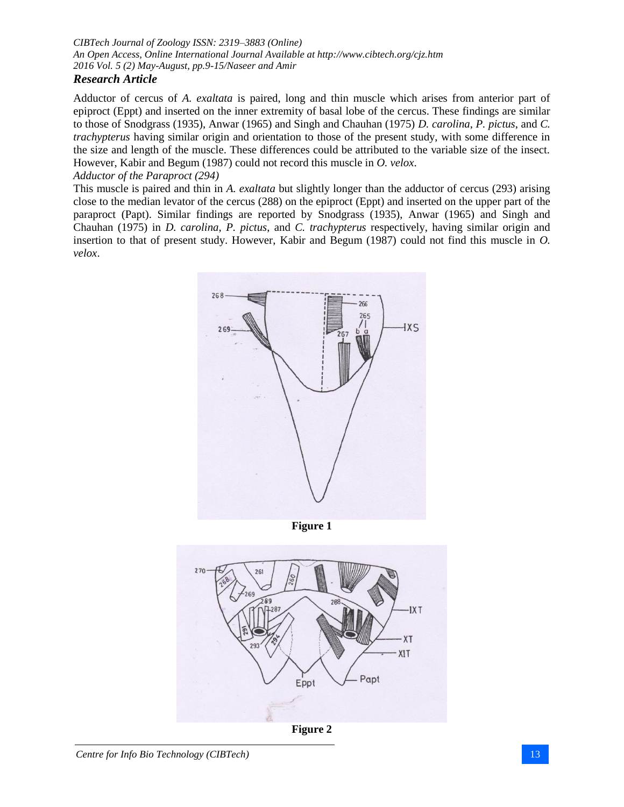# *CIBTech Journal of Zoology ISSN: 2319–3883 (Online) An Open Access, Online International Journal Available at http://www.cibtech.org/cjz.htm 2016 Vol. 5 (2) May-August, pp.9-15/Naseer and Amir*

# *Research Article*

Adductor of cercus of *A. exaltata* is paired, long and thin muscle which arises from anterior part of epiproct (Eppt) and inserted on the inner extremity of basal lobe of the cercus. These findings are similar to those of Snodgrass (1935), Anwar (1965) and Singh and Chauhan (1975) *D. carolina*, *P. pictus*, and *C. trachypterus* having similar origin and orientation to those of the present study, with some difference in the size and length of the muscle. These differences could be attributed to the variable size of the insect. However, Kabir and Begum (1987) could not record this muscle in *O. velox*.

#### *Adductor of the Paraproct (294)*

This muscle is paired and thin in *A. exaltata* but slightly longer than the adductor of cercus (293) arising close to the median levator of the cercus (288) on the epiproct (Eppt) and inserted on the upper part of the paraproct (Papt). Similar findings are reported by Snodgrass (1935), Anwar (1965) and Singh and Chauhan (1975) in *D. carolina*, *P. pictus*, and *C. trachypterus* respectively, having similar origin and insertion to that of present study. However, Kabir and Begum (1987) could not find this muscle in *O. velox*.



**Figure 1**



**Figure 2**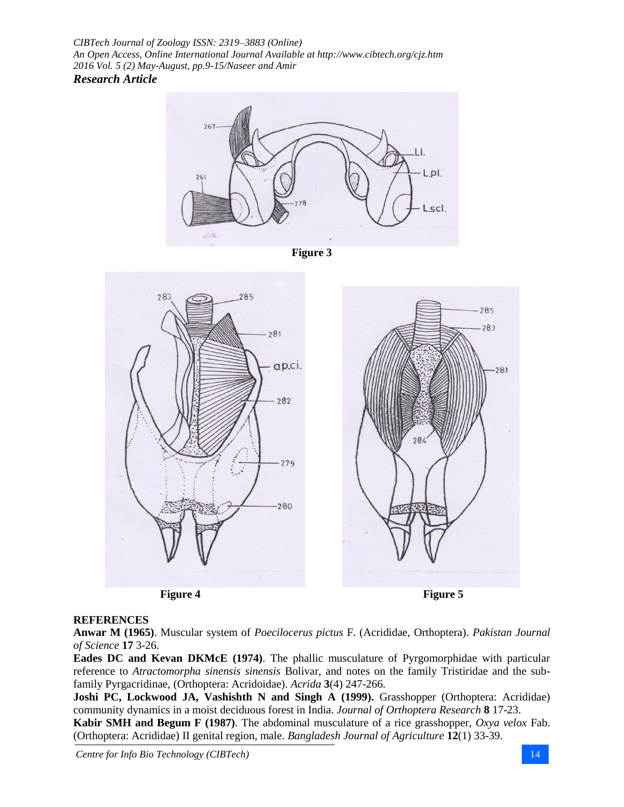*CIBTech Journal of Zoology ISSN: 2319–3883 (Online) An Open Access, Online International Journal Available at http://www.cibtech.org/cjz.htm 2016 Vol. 5 (2) May-August, pp.9-15/Naseer and Amir Research Article*







**Figure 4 Figure 5** 

# **REFERENCES**

**Anwar M (1965)**. Muscular system of *Poecilocerus pictus* F. (Acrididae, Orthoptera). *Pakistan Journal of Science* **17** 3-26.

**Eades DC and Kevan DKMcE (1974)**. The phallic musculature of Pyrgomorphidae with particular reference to *Atractomorpha sinensis sinensis* Bolivar, and notes on the family Tristiridae and the subfamily Pyrgacridinae, (Orthoptera: Acridoidae). *Acrida* **3**(4) 247-266.

**Joshi PC, Lockwood JA, Vashishth N and Singh A (1999).** Grasshopper (Orthoptera: Acrididae) community dynamics in a moist deciduous forest in India. *Journal of Orthoptera Research* **8** 17-23.

**Kabir SMH and Begum F (1987)**. The abdominal musculature of a rice grasshopper, *Oxya velox* Fab. (Orthoptera: Acrididae) II genital region, male. *Bangladesh Journal of Agriculture* **12**(1) 33-39.

*Centre for Info Bio Technology (CIBTech)* 14